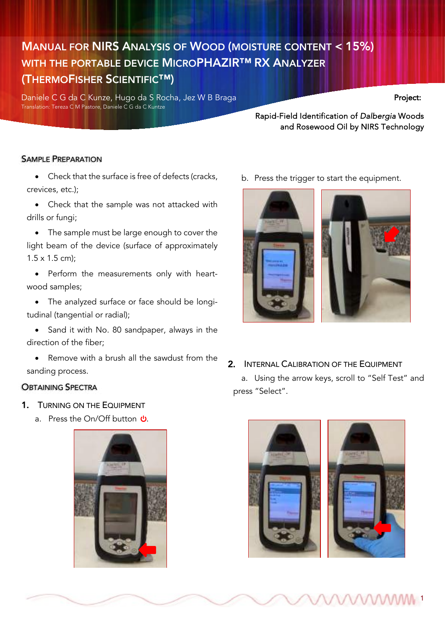# MANUAL FOR NIRS ANALYSIS OF WOOD (MOISTURE CONTENT < 15%) WITH THE PORTABLE DEVICE MICROPHAZIR™ RX ANALYZER (THERMOFISHER SCIENTIFIC™)

Daniele C G da C Kunze, Hugo da S Rocha, Jez W B Braga Project: Translation: Tereza C M Pastore, Daniele C G da C Kuntze

Rapid-Field Identification of *Dalbergia* Woods and Rosewood Oil by NIRS Technology

MANUAL FOR NIRS ANALYSIS OF WOOD

## SAMPLE PREPARATION

• Check that the surface is free of defects (cracks, crevices, etc.);

• Check that the sample was not attacked with drills or fungi;

• The sample must be large enough to cover the light beam of the device (surface of approximately 1.5 x 1.5 cm);

• Perform the measurements only with heartwood samples;

• The analyzed surface or face should be longitudinal (tangential or radial);

• Sand it with No. 80 sandpaper, always in the direction of the fiber;

• Remove with a brush all the sawdust from the sanding process.

## **OBTAINING SPECTRA**

- 1. TURNING ON THE EQUIPMENT
	- a. Press the On/Off button  $\theta$ .



b. Press the trigger to start the equipment.



2. INTERNAL CALIBRATION OF THE EQUIPMENT

a. Using the arrow keys, scroll to "Self Test" and press "Select".



WWW.1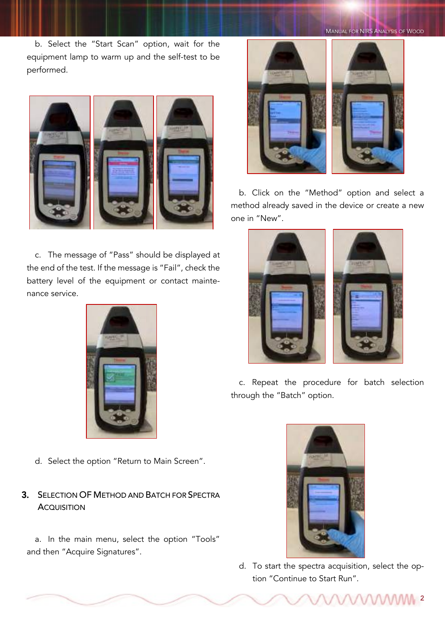MANUAL FOR NIRS ANALYSIS OF WOOD

b. Select the "Start Scan" option, wait for the equipment lamp to warm up and the self-test to be performed.



c. The message of "Pass" should be displayed at the end of the test. If the message is "Fail", check the battery level of the equipment or contact maintenance service.



d. Select the option "Return to Main Screen".

# 3. SELECTION OF METHOD AND BATCH FOR SPECTRA **ACQUISITION**

a. In the main menu, select the option "Tools" and then "Acquire Signatures".



b. Click on the "Method" option and select a method already saved in the device or create a new one in "New".



c. Repeat the procedure for batch selection through the "Batch" option.



d. To start the spectra acquisition, select the option "Continue to Start Run".

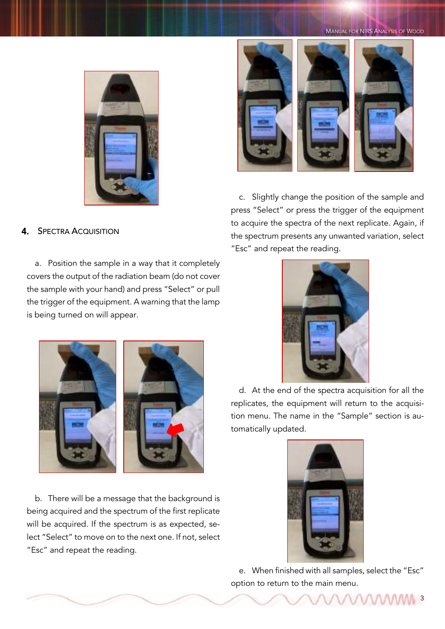MANUAL FOR NIRS ANALYSIS OF WOOD



# 4. SPECTRA ACQUISITION

a. Position the sample in a way that it completely covers the output of the radiation beam (do not cover the sample with your hand) and press "Select" or pull the trigger of the equipment. A warning that the lamp is being turned on will appear.



b. There will be a message that the background is being acquired and the spectrum of the first replicate will be acquired. If the spectrum is as expected, select "Select" to move on to the next one. If not, select "Esc" and repeat the reading.



c. Slightly change the position of the sample and press "Select" or press the trigger of the equipment to acquire the spectra of the next replicate. Again, if the spectrum presents any unwanted variation, select "Esc" and repeat the reading.



d. At the end of the spectra acquisition for all the replicates, the equipment will return to the acquisition menu. The name in the "Sample" section is automatically updated.



e. When finished with all samples, select the "Esc" option to return to the main menu.

VAAAAAAM 3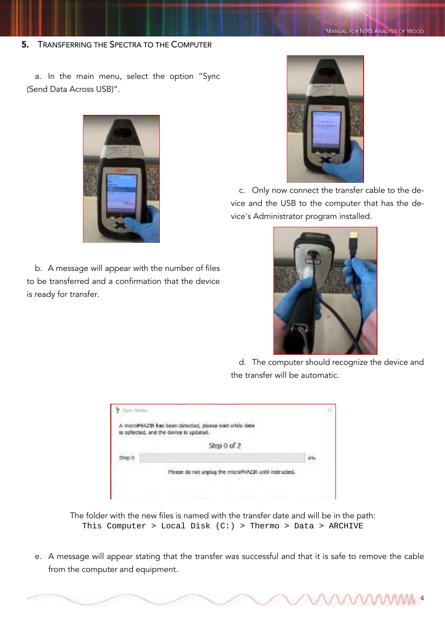5. TRANSFERRING THE SPECTRA TO THE COMPUTER

a. In the main menu, select the option "Sync (Send Data Across USB)".



b. A message will appear with the number of files to be transferred and a confirmation that the device is ready for transfer.



c. Only now connect the transfer cable to the device and the USB to the computer that has the device's Administrator program installed.



d. The computer should recognize the device and the transfer will be automatic.

**MAAMA** 

|        | A microPHAZIR has been detected, please wait while data                |  |
|--------|------------------------------------------------------------------------|--|
|        | is collected, and the device is updated.<br>인이가 부인 아까 있어요. 안 봐 정체에 뭐라. |  |
|        | Step 0 of 2                                                            |  |
| Shen O |                                                                        |  |
|        | Please do not unplug the microPHAZJR until instructed.                 |  |

The folder with the new files is named with the transfer date and will be in the path: This Computer > Local Disk  $(C:)>$  Thermo > Data > ARCHIVE

e. A message will appear stating that the transfer was successful and that it is safe to remove the cable from the computer and equipment.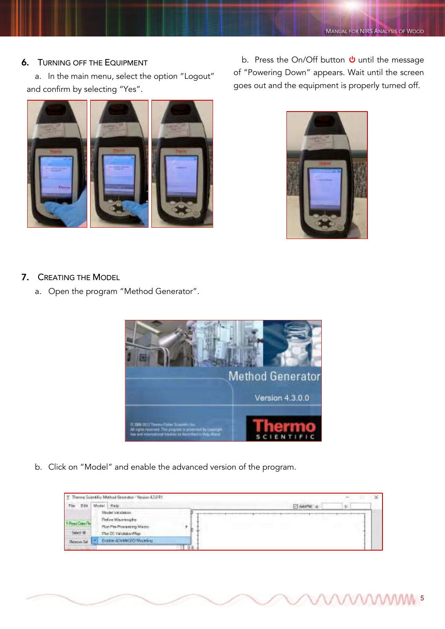WWW<sub>5</sub>

### 6. TURNING OFF THE EQUIPMENT

a. In the main menu, select the option "Logout" and confirm by selecting "Yes".



b. Press the On/Off button  $\Phi$  until the message of "Powering Down" appears. Wait until the screen goes out and the equipment is properly turned off.



- 7. CREATING THE MODEL
	- a. Open the program "Method Generator".



b. Click on "Model" and enable the advanced version of the program.

| The<br>Edit.                       | Model Halp                  |  | <b>DI AdoPet 16</b> |  |
|------------------------------------|-----------------------------|--|---------------------|--|
| <b>SEVIENSLIPERS</b>               | Model Val stress            |  |                     |  |
|                                    | Fieline Wavelenigtha        |  |                     |  |
| the water rest service and         | Plum Pho-Phocessings Macro- |  |                     |  |
| Select All                         | Flot CC Validation/Map      |  |                     |  |
| and the local<br><b>Renova Sal</b> | Frase Africa (FD Modeling   |  |                     |  |
|                                    |                             |  |                     |  |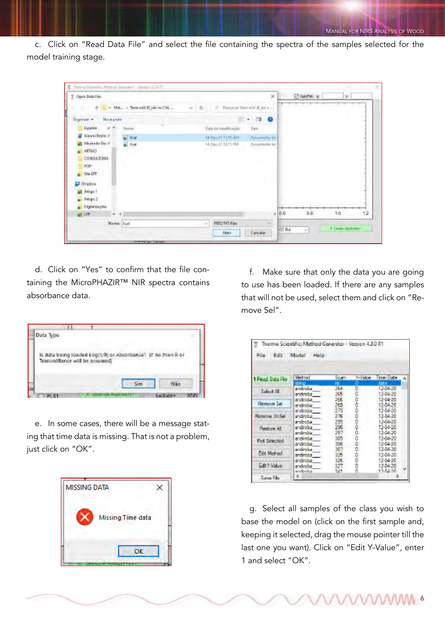c. Click on "Read Data File" and select the file containing the spectra of the samples selected for the model training stage.



d. Click on "Yes" to confirm that the file containing the MicroPHAZIR™ NIR spectra contains absorbance data.

| Data Type |                                |                                                              |  |
|-----------|--------------------------------|--------------------------------------------------------------|--|
|           |                                | Is data being loaded Log(1/R) or Absorbance? If no then R or |  |
|           |                                |                                                              |  |
|           | Transmittance will be assumed) |                                                              |  |

e. In some cases, there will be a message stating that time data is missing. That is not a problem, just click on "OK".

| <b>MISSING DATA</b> |  |
|---------------------|--|
| Missing Time data   |  |
| OK                  |  |

f. Make sure that only the data you are going to use has been loaded. If there are any samples that will not be used, select them and click on "Remove Sel".

| Edit Model<br>File: | Thermo Scientific: Method Generator - Version 4.3.0 R1<br>Help |                   |           |                                  |
|---------------------|----------------------------------------------------------------|-------------------|-----------|----------------------------------|
| 1. Read Data File   | Method                                                         | Scan              | 1 Visible | Time / Date<br>٨                 |
| Select AV           | 65 OF 13<br>androba -<br>androba.                              | 364<br>245        |           | 12-54-20<br>12-04-20             |
| Remove Sell         | androba<br>andiroba:                                           | 266<br>265        |           | 12-04-20<br>1244-20              |
| Ramova UnSei        | androba<br>androba<br>androba                                  | 273<br>276<br>295 |           | 12-06-20<br>12-04-20<br>12-06:20 |
| <b>Flestore At</b>  | androba<br>androba                                             | 296<br>297        |           | 12-54-20<br>12-04-20             |
| Rot Selected        | sidiroba<br>androba -                                          | 305<br>306        |           | 12-04-20<br>12-04-20             |
| <b>Edit Method</b>  | androba -<br>andiroba                                          | 387<br>326        |           | 12-04-20<br>12-04-20             |
| EditY-Value         | ardroba<br>androba -<br>sevlimba                               | 326<br>377<br>241 |           | 12-04-20<br>12-04-20<br>12.54.20 |
| Save Fee            |                                                                |                   |           |                                  |

g. Select all samples of the class you wish to base the model on (click on the first sample and, keeping it selected, drag the mouse pointer till the last one you want). Click on "Edit Y-Value", enter 1 and select "OK".

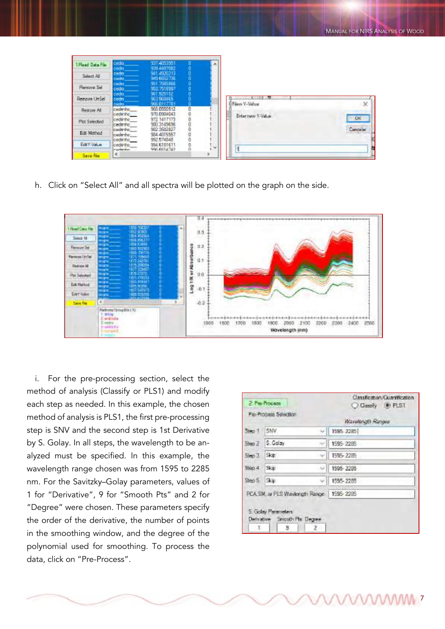| 1 Flead Data Fix | ceda.                                 | 937-4053951<br>339.4407582               | $\lambda$ |                            |           |
|------------------|---------------------------------------|------------------------------------------|-----------|----------------------------|-----------|
| Select All       | œ<br>cadra                            | M1.4920213<br>949.6652730                |           |                            |           |
| Flencye Sel      | cachu<br>tedra.                       | 951.7085866<br>9527518997                |           |                            |           |
| Jenove UnSel     | 600.<br>edra                          | 961 9251 52<br>63.968465                 |           | я.<br><b>B New Y-Value</b> |           |
| Restore All      | <b>GRIDDE</b><br>cudtrino.<br>dedanho | 968 0550 512<br>970.0984043              |           | Enter new Y-Value          |           |
| Plot Selected    | dedirvho<br><b>CEORY O</b>            | 972 1417 173<br>980.3149696              |           |                            | <b>CK</b> |
| Edit Method      | cediring<br>cedevic_                  | 982 3582827<br>984 4015957               |           |                            | Canoclar  |
| EditY-Value      | tedánho<br>tedenho                    | 992 574848<br>994.6181411<br>996 6614743 | u         |                            |           |
| <b>Save Fle</b>  | markinker.<br>黒                       |                                          | 13        |                            |           |

h. Click on "Select All" and all spectra will be plotted on the graph on the side.



i. For the pre-processing section, select the method of analysis (Classify or PLS1) and modify each step as needed. In this example, the chosen method of analysis is PLS1, the first pre-processing step is SNV and the second step is 1st Derivative by S. Golay. In all steps, the wavelength to be analyzed must be specified. In this example, the wavelength range chosen was from 1595 to 2285 nm. For the Savitzky–Golay parameters, values of 1 for "Derivative", 9 for "Smooth Pts" and 2 for "Degree" were chosen. These parameters specify the order of the derivative, the number of points in the smoothing window, and the degree of the polynomial used for smoothing. To process the data, click on "Pre-Process".

|                  | 2. Pre-Process                                      | Classification/Cuantification<br>C Classify 0 PLS1 |
|------------------|-----------------------------------------------------|----------------------------------------------------|
|                  | Pie-Process Selection                               | Wavelength Ranges                                  |
| Step 1           | SNV.<br>w                                           | 1995-2285                                          |
| $5$ keo 2        | S. Golay                                            | 1595-2285                                          |
| 5 <sub>iso</sub> | Skip:                                               | 1595-2285                                          |
| $Since A$        | Skip<br>u                                           | 1595-2295                                          |
| Step 5 Skip      | si l                                                | 1595-2285                                          |
|                  | PCA SM, or PLS Wavlength Range   1595-2285          |                                                    |
|                  | 5. Golay Parameters<br>Denvistive Smooth Pts Degree |                                                    |
| $\top$           | s<br>アニ                                             |                                                    |

**MMMM**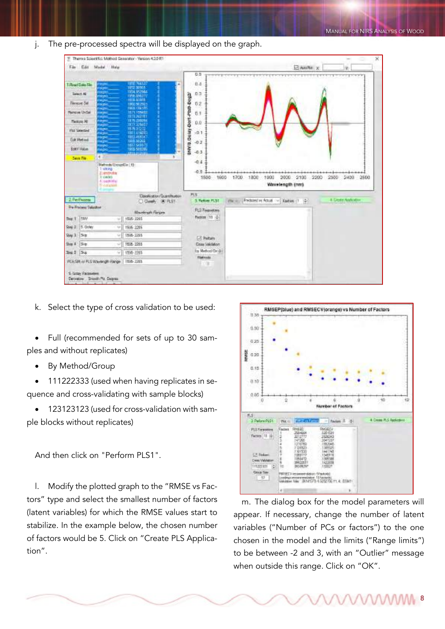j. The pre-processed spectra will be displayed on the graph.

|                                                        |                                                                                                    | Theme Scientific: Method Selecator - Version 4.2.0 RT |                           |                                     |      |                                                   |                                 |              | ×                          |
|--------------------------------------------------------|----------------------------------------------------------------------------------------------------|-------------------------------------------------------|---------------------------|-------------------------------------|------|---------------------------------------------------|---------------------------------|--------------|----------------------------|
| File Edit                                              | Model Help                                                                                         |                                                       |                           |                                     |      |                                                   |                                 | Z Auth X     | v.                         |
|                                                        |                                                                                                    |                                                       |                           | 0.5<br>بمستعبث سال تقييله           |      |                                                   |                                 |              |                            |
| T.Read Data File                                       | nyn.                                                                                               | <b>THE NEW</b>                                        |                           | ti a                                |      |                                                   |                                 |              |                            |
| Swedt All                                              | <b>COLOR</b><br>sono.                                                                              | 1954 152544                                           |                           | $D-$                                |      |                                                   |                                 |              |                            |
| Finneye Sel                                            | <b>Marine</b><br><b>System</b>                                                                     | <b>HERAININ</b><br>1860 502903                        | SW10.0014 Don't Play Deg2 | 0.2                                 |      |                                                   |                                 |              |                            |
| <b>Hercus UnSel</b>                                    | <b>Killin</b><br><b>IN THE</b>                                                                     | 1965156155<br><b>RITE SMARK</b>                       |                           | 0.1                                 |      |                                                   |                                 |              |                            |
| <b>Telepine AB</b>                                     | <b>HEAR</b><br>ago,                                                                                | <b>ISTEMPTED</b><br>1875 220154                       |                           | 0.0                                 |      |                                                   |                                 |              |                            |
| <b>Picc Salerped</b>                                   | <b>DE DO</b><br><b>Bank</b>                                                                        | 1977.226467<br>187507202                              |                           |                                     |      |                                                   |                                 |              |                            |
| <b>Gik Werklaud</b>                                    | <b>DOM:</b><br>tigns,                                                                              | 1981 414003                                           |                           | $-0.1$                              |      |                                                   |                                 |              |                            |
| <b>Editi</b> Value                                     | <b>STAR</b><br><b>ogno</b>                                                                         | <b>LESS MONE</b>                                      |                           | $-0.2$                              |      |                                                   |                                 |              |                            |
| Sens File                                              | Again,<br>٠                                                                                        | 1905 590285<br><b>Little produ</b>                    |                           | $-0.3$                              |      |                                                   |                                 |              |                            |
|                                                        | Matrods UsoupEix [6]:<br>1:sting<br>Zuentheden<br>3 cedes<br><b>Accounting</b><br><b>Shortable</b> |                                                       |                           | $-0.4$<br>0.5<br>1600<br>1500       | 1700 | <br>$-1800$<br>1900                               | 2000<br>2100<br>Wavelength (nm) | 2200<br>2500 | <br>2400<br>2500           |
| 2. Per Process                                         |                                                                                                    | Cashaton Guesthaton                                   | PL'S                      |                                     |      |                                                   |                                 |              | <b>4. Lieutz Androiden</b> |
| <b>Fre-Fracers Saludient</b>                           |                                                                                                    | C) Classes (30 PLS1)                                  |                           | 3. Fedom #1.31.                     |      | Pierre, Predicted in Actual -> C Kastus; (1. 12-) |                                 |              |                            |
|                                                        |                                                                                                    | <b>Machineh Fargin</b>                                |                           | <b>FLS Twaverers</b>                |      |                                                   |                                 |              |                            |
| <b>Tesay</b><br>Dep 1                                  |                                                                                                    | $-14545 - 3265$                                       |                           | Paston [11 (2)                      |      |                                                   |                                 |              |                            |
| 5. Oclay<br>246.2                                      | $+1$                                                                                               | 1995 2285                                             |                           |                                     |      |                                                   |                                 |              |                            |
| 15m<br>Stag 3                                          | SF.                                                                                                | 1506-2265                                             |                           | [-Tadars]                           |      |                                                   |                                 |              |                            |
| Sen I<br>$18 +$                                        |                                                                                                    | 1008-2205                                             |                           | <b>Close Validation</b>             |      |                                                   |                                 |              |                            |
| $3x3$ $5x$                                             | w                                                                                                  | 156-3265                                              |                           | by Method/Dridit<br><b>Flatyoda</b> |      |                                                   |                                 |              |                            |
| PCASIR or FLS Wavergin Range   158-1265                |                                                                                                    |                                                       |                           | ×                                   |      |                                                   |                                 |              |                            |
| S. Gripy Pactriceberg<br>Derivative Shippin Pts Degree |                                                                                                    |                                                       |                           |                                     |      |                                                   |                                 |              |                            |

k. Select the type of cross validation to be used:

• Full (recommended for sets of up to 30 samples and without replicates)

• By Method/Group

• 111222333 (used when having replicates in sequence and cross-validating with sample blocks)

• 123123123 (used for cross-validation with sample blocks without replicates)

And then click on "Perform PLS1".

l. Modify the plotted graph to the "RMSE vs Factors" type and select the smallest number of factors (latent variables) for which the RMSE values start to stabilize. In the example below, the chosen number of factors would be 5. Click on "Create PLS Application".



m. The dialog box for the model parameters will appear. If necessary, change the number of latent variables ("Number of PCs or factors") to the one chosen in the model and the limits ("Range limits") to be between -2 and 3, with an "Outlier" message when outside this range. Click on "OK".

**MAAAM**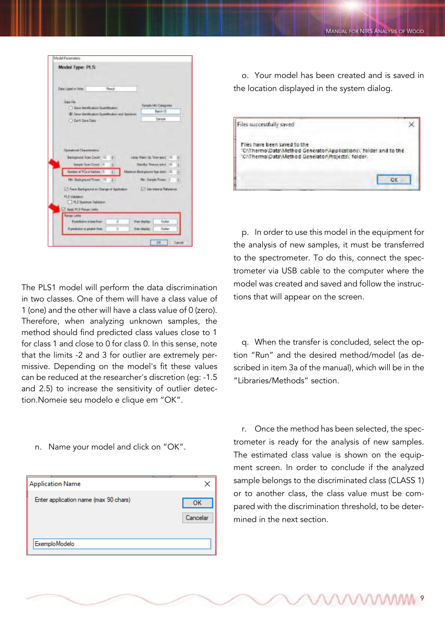| Model Type: PLS                                                                                        |                                                                                                       |
|--------------------------------------------------------------------------------------------------------|-------------------------------------------------------------------------------------------------------|
| Dasa Label at United<br><b>First</b>                                                                   |                                                                                                       |
| Data Fee:                                                                                              |                                                                                                       |
| - C. Law Mexican Assemblance                                                                           | Serah Ho-Davgines                                                                                     |
| -Et have been a grow to perfection and teachers                                                        | Batch (I)                                                                                             |
| 17 Darft Sare Data                                                                                     | Service                                                                                               |
| Background Scientificant: 11 12<br>Tomskin Town Count : 15 12<br><b>Susservil PCs (41A/bes 1)</b><br>星 | Large Wann Ho. Time (ped) 15 - 0<br>u<br><b>Throwy Thomas parts 10</b><br>Names Belgium April (10  2) |
| Mr. Backgraped Power 713<br>181                                                                        | Pits Sonde Forest (2) (2)                                                                             |
| - Fee a Bangrano or Dunge of Sprinters                                                                 | <b>CONTRACTOR</b>                                                                                     |
| <b>PLS Valdators</b><br>H.5 Sector Inhibitor                                                           |                                                                                                       |
| Apply PLS Range Links<br><b><i><u>Ranger London</u></i></b>                                            |                                                                                                       |
| If productions is lasted than a                                                                        | Dullee<br><b><i><u>State depiter</u></i></b>                                                          |

The PLS1 model will perform the data discrimination in two classes. One of them will have a class value of 1 (one) and the other will have a class value of 0 (zero). Therefore, when analyzing unknown samples, the method should find predicted class values close to 1 for class 1 and close to 0 for class 0. In this sense, note that the limits -2 and 3 for outlier are extremely permissive. Depending on the model's fit these values can be reduced at the researcher's discretion (eg: -1.5 and 2.5) to increase the sensitivity of outlier detection.Nomeie seu modelo e clique em "OK".

n. Name your model and click on "OK".

| <b>Application Name</b>               |  | ×        |
|---------------------------------------|--|----------|
| Enter application name (max 90 chars) |  | ОΚ       |
|                                       |  | Cancelar |
| ExemploModelo                         |  |          |

o. Your model has been created and is saved in the location displayed in the system dialog.

| Files successfully saved                                                                                                                                |  |
|---------------------------------------------------------------------------------------------------------------------------------------------------------|--|
| Files have been saved to the<br>'C:\Thermo\Data\Method Generator\Applications\' folder and to the<br>"C:\Thermo\Data\Method Generator\Projects\"folder. |  |
|                                                                                                                                                         |  |

p. In order to use this model in the equipment for the analysis of new samples, it must be transferred to the spectrometer. To do this, connect the spectrometer via USB cable to the computer where the model was created and saved and follow the instructions that will appear on the screen.

q. When the transfer is concluded, select the option "Run" and the desired method/model (as described in item 3a of the manual), which will be in the "Libraries/Methods" section.

r. Once the method has been selected, the spectrometer is ready for the analysis of new samples. The estimated class value is shown on the equipment screen. In order to conclude if the analyzed sample belongs to the discriminated class (CLASS 1) or to another class, the class value must be compared with the discrimination threshold, to be determined in the next section.

9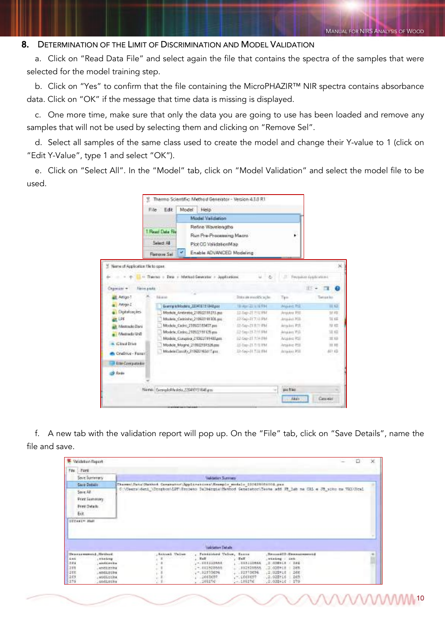10

### 8. DETERMINATION OF THE LIMIT OF DISCRIMINATION AND MODEL VALIDATION

a. Click on "Read Data File" and select again the file that contains the spectra of the samples that were selected for the model training step.

b. Click on "Yes" to confirm that the file containing the MicroPHAZIR™ NIR spectra contains absorbance data. Click on "OK" if the message that time data is missing is displayed.

c. One more time, make sure that only the data you are going to use has been loaded and remove any samples that will not be used by selecting them and clicking on "Remove Sel".

d. Select all samples of the same class used to create the model and change their Y-value to 1 (click on "Edit Y-Value", type 1 and select "OK").

e. Click on "Select All". In the "Model" tab, click on "Model Validation" and select the model file to be used.

|                                   |                                       | Thermo Scientific: Method Generator - Version 4.3.0 R1                                              |                   |                    |                         |
|-----------------------------------|---------------------------------------|-----------------------------------------------------------------------------------------------------|-------------------|--------------------|-------------------------|
|                                   | Edit<br>File                          | Model<br>Help <sup>1</sup>                                                                          |                   |                    |                         |
|                                   |                                       | Model Validation                                                                                    |                   |                    |                         |
|                                   | Read Data Re<br>Select All<br>×       | Refine Wavelengths<br>Run Pre-Propessing Macro<br>Plot CC ValidationMap<br>Enable ADVANCED Modeling |                   | ٠                  |                         |
|                                   | <b>Flemove Sell</b>                   |                                                                                                     |                   |                    |                         |
| Name of Application Tile to open. |                                       |                                                                                                     |                   |                    |                         |
|                                   |                                       | 11 Thermo - Data + Method Generator + Jupitizations                                                 | u<br>a,           |                    | Fectional distinctions: |
| Cagoricar =                       | Neirs exces.                          |                                                                                                     |                   |                    | 日本<br>п                 |
| E Anigo-T                         | Eddards                               |                                                                                                     | This is readingly | Tipic              | Taxican lists           |
| Amgo I.                           |                                       | Every tehnisista 220416151348.poz                                                                   | TRANS-ZE WIE FINT | <b>ANALISE PSE</b> | 38.93                   |
| Digitalizações                    |                                       | Modele Anderste 210922191215.pss.                                                                   | 15-54p-21-7/1LPM  | Argules 755        | 光线                      |
| <b>ALL LPF</b>                    |                                       | Models Cedrinho 210923191300.ppc                                                                    | 12-Sep-317-31 PM  | Articles Rds.      | 31.65                   |
| at Memado Dani                    |                                       | Modelo Cedro 210922183457.pm                                                                        | 12-5ap-21 米TI PM  | Ansales RST.       | 规范                      |
| . Mentado Uniti                   |                                       | Models: Cedro 21092219112% em                                                                       | 22-5m-21-2:11 PM  | Anglery Fill       | SE 450                  |
|                                   |                                       | Models Curativa 210922191410.pm                                                                     | 12-Sep-21 7:34 PM | Analysis RSD       | 32.52                   |
| Cloud Drive                       |                                       | Modele Mogne 219922131525.pm                                                                        | 15-ban-21-ft 0.1M | Artisting PSS      | 111                     |
| CraDive - Fanani                  |                                       | ModeleClassify_21002219241Tass                                                                      | 22-Say-31 T-31 FM | Aria 6x1 PSS       | 491.63                  |
| <b>III Em Comparator</b>          |                                       |                                                                                                     |                   |                    |                         |
| St. Rede                          |                                       |                                                                                                     |                   |                    |                         |
|                                   | Nami: ExemploMedelo, 220419151848.gos |                                                                                                     |                   | por Flee<br>÷      |                         |
|                                   |                                       |                                                                                                     |                   | <b>Akar</b>        | Сиких                   |
|                                   |                                       |                                                                                                     |                   |                    |                         |

f. A new tab with the validation report will pop up. On the "File" tab, click on "Save Details", name the file and save.

|                           | <sup>5</sup> Validation Report                                                                                                                                                   |                                                                              |                                                    |                                                |  | Ð. | × |  |
|---------------------------|----------------------------------------------------------------------------------------------------------------------------------------------------------------------------------|------------------------------------------------------------------------------|----------------------------------------------------|------------------------------------------------|--|----|---|--|
| File: Ford                |                                                                                                                                                                                  |                                                                              |                                                    |                                                |  |    |   |  |
|                           | Sout Surretury                                                                                                                                                                   | Validation Sciences                                                          |                                                    |                                                |  |    |   |  |
|                           | Save Details                                                                                                                                                                     | Therms Data Matched Carporator Applications (Moseple models 100410051004.pss |                                                    |                                                |  |    |   |  |
|                           | C:\Uwers\deni_\Ucupboo\LDT\Roopeto Dalbacqia\Bethod Generator\Testa add IR_lab na UAL a JR_sito na VAl\Drai<br>Sove All<br><b>Print Summers</b><br><b>Print Details</b><br>Exit. |                                                                              |                                                    |                                                |  |    |   |  |
|                           |                                                                                                                                                                                  |                                                                              |                                                    |                                                |  |    |   |  |
|                           |                                                                                                                                                                                  |                                                                              |                                                    |                                                |  |    |   |  |
|                           |                                                                                                                                                                                  |                                                                              | <b>Makington Databr</b>                            |                                                |  |    |   |  |
| DECASEW HART              | Heasta moved, Method                                                                                                                                                             | Askand Value                                                                 | Fundalcheol Value, Encor                           | Second D Second contri-                        |  |    |   |  |
|                           | <i><b>LEARNING</b></i>                                                                                                                                                           |                                                                              | $-$ Talk<br>$-200$                                 | .vising . sea                                  |  |    |   |  |
|                           | andients.                                                                                                                                                                        |                                                                              | $-10011123884$<br>$-013222884$                     | (2) (IDEALS 4 284)                             |  |    |   |  |
| <b>Luis</b><br>384<br>211 | Langitzinka                                                                                                                                                                      |                                                                              | $-1112528888$<br>$-11157864$                       | .3.03E+18   36H                                |  |    |   |  |
| 288<br>265                | LADDLEUDA<br>, andicome.                                                                                                                                                         |                                                                              | $-12313874$<br>$-12273854$<br>1448457<br>. 1001037 | $-12.925 + 16$ 266<br>$-265.$<br>$.2.028 + 16$ |  |    |   |  |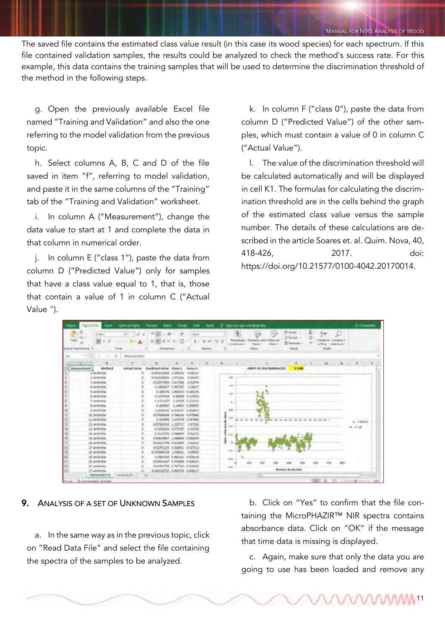The saved file contains the estimated class value result (in this case its wood species) for each spectrum. If this file contained validation samples, the results could be analyzed to check the method's success rate. For this example, this data contains the training samples that will be used to determine the discrimination threshold of the method in the following steps.

g. Open the previously available Excel file named "Training and Validation" and also the one referring to the model validation from the previous topic.

h. Select columns A, B, C and D of the file saved in item "f", referring to model validation, and paste it in the same columns of the "Training" tab of the "Training and Validation" worksheet.

i. In column A ("Measurement"), change the data value to start at 1 and complete the data in that column in numerical order.

j. In column E ("class 1"), paste the data from column D ("Predicted Value") only for samples that have a class value equal to 1, that is, those that contain a value of 1 in column C ("Actual Value ").

k. In column F ("class 0"), paste the data from column D ("Predicted Value") of the other samples, which must contain a value of 0 in column C ("Actual Value").

l. The value of the discrimination threshold will be calculated automatically and will be displayed in cell K1. The formulas for calculating the discrimination threshold are in the cells behind the graph of the estimated class value versus the sample number. The details of these calculations are described in the article Soares et. al. Quim. Nova, 40, 418-426, 2017. doi: https://doi.org/10.21577/0100-4042.20170014.



### 9. ANALYSIS OF A SET OF UNKNOWN SAMPLES

a. In the same way as in the previous topic, click on "Read Data File" and select the file containing the spectra of the samples to be analyzed.

b. Click on "Yes" to confirm that the file containing the MicroPHAZIR™ NIR spectra contains absorbance data. Click on "OK" if the message that time data is missing is displayed.

c. Again, make sure that only the data you are going to use has been loaded and remove any

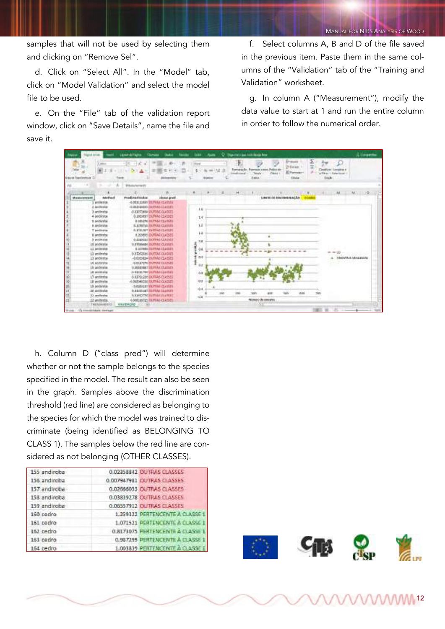samples that will not be used by selecting them and clicking on "Remove Sel".

d. Click on "Select All". In the "Model" tab, click on "Model Validation" and select the model file to be used.

e. On the "File" tab of the validation report window, click on "Save Details", name the file and save it.

f. Select columns A, B and D of the file saved in the previous item. Paste them in the same columns of the "Validation" tab of the "Training and Validation" worksheet.

g. In column A ("Measurement"), modify the data value to start at 1 and run the entire column in order to follow the numerical order.

|                                           |                                  | Leanahilate.<br>Glamatos                                        | <b>Said</b><br><b>Bakka</b>           | <b>Juan</b><br>-      |           | C New York I like Inch Banga Book             |                              |                                                            |                   |                                                    | A crowning          |  |
|-------------------------------------------|----------------------------------|-----------------------------------------------------------------|---------------------------------------|-----------------------|-----------|-----------------------------------------------|------------------------------|------------------------------------------------------------|-------------------|----------------------------------------------------|---------------------|--|
| Talla<br>forker and Tragers' profits sig- | L. Miller<br>£                   | $-200$<br>-<br>Tuesta<br><b><i><u>Manuferrenti</u></i></b>      | <b><i><u>Stationen Artist</u></i></b> | <b>Player</b>         | Tomoksake | <b>Formato close</b><br>Teknik<br><b>Exis</b> | Police on<br>Chris           | <b>EPWANY</b><br>29 ELLAN<br><b>ID Formular</b><br>Eiliata | Σ<br><b>Emplo</b> | <b>Castillan Takeless</b><br>a Elkian - Kalaniansi | .                   |  |
| Winds &                                   | ٠                                |                                                                 | <b>SALES</b> CO.                      | $-10$<br><b>B-100</b> | 工<br>$+$  | <b>LEEVIDOO</b>                               | The Management of the Second | 18                                                         |                   | $_{\rm{H}}$                                        | $M_{11} = 0.05$     |  |
|                                           | Melfand<br><b>Marakovenniert</b> | Pendictural trademic                                            | classe pref                           |                       |           |                                               | UMIT DE INVISIONALE          | <b>DIAMES</b>                                              |                   |                                                    |                     |  |
|                                           | anderdak                         | -LODI LLIANT TRIPVAN VLVEMEN                                    |                                       |                       |           |                                               |                              |                                                            |                   |                                                    |                     |  |
|                                           | 2. Anithi site                   | -LIBRARY DUPLICESS                                              |                                       | 1.6                   |           |                                               |                              |                                                            |                   |                                                    |                     |  |
|                                           | 3 antinoba<br>4 security         | OXIDITARIA DURING CLASSES<br><b>0.1000/037 DIAPPAG CLICAGES</b> |                                       |                       |           |                                               |                              |                                                            |                   |                                                    |                     |  |
|                                           | 1 androlar                       | <b>REMAN DUTATIONS</b>                                          |                                       | 18                    |           |                                               |                              |                                                            |                   |                                                    |                     |  |
|                                           | A sedmine                        | 11.1116740.13UPMAILCLk1335                                      |                                       | 12                    |           |                                               |                              |                                                            |                   |                                                    |                     |  |
|                                           | T andersia                       | A DO SET OUTBAL FLATER                                          |                                       |                       |           |                                               |                              |                                                            |                   |                                                    |                     |  |
|                                           | If amchiphy                      | <b>IL2006RS DUTING CLASSES</b>                                  |                                       | 1.8                   |           |                                               |                              |                                                            |                   |                                                    |                     |  |
|                                           | 3 wide you                       | 6.000003-DUNAS-CLASSES                                          |                                       | 光度                    |           |                                               |                              |                                                            |                   |                                                    |                     |  |
|                                           | 12 andwaria                      | O STRINGER DUPPAT CLYSTER                                       |                                       | į                     |           |                                               |                              |                                                            |                   |                                                    |                     |  |
|                                           | 13 antisyste                     | 8.007MB TSPPALITATION                                           |                                       | 9.6                   |           |                                               |                              |                                                            |                   |                                                    |                     |  |
|                                           | Li sedeste                       | 0.8726206-007566-2345521                                        |                                       | 곡                     |           |                                               |                              |                                                            |                   | $= 80$                                             |                     |  |
|                                           | 13 archivical                    | -RADIOBLIA DIATRAS CLASSES                                      |                                       | <b>B.R</b>            |           |                                               |                              |                                                            |                   |                                                    | AMOUTREE AN HERMONE |  |
|                                           | 14 sederate                      | HEREA POPP, ENVIRONMENTAL AUTORITY                              |                                       | 1<br>88               |           |                                               |                              |                                                            |                   |                                                    |                     |  |
|                                           | 15 policietas                    | ULLINGEDIART TREPPARTITILATIONS                                 |                                       |                       |           |                                               |                              |                                                            |                   |                                                    |                     |  |
|                                           | 14 ministella                    | O SIIII SH DUWA CLIIBA                                          |                                       | 16.8                  |           |                                               |                              |                                                            |                   |                                                    |                     |  |
|                                           | LT-andiestos                     | 0.83791236 DUTRAS CLASSES                                       |                                       |                       |           |                                               |                              |                                                            |                   |                                                    |                     |  |
|                                           | Il secordo                       | -0.005045336 ISURFACIOLESSES                                    |                                       | $-0.2$                |           |                                               |                              |                                                            |                   |                                                    |                     |  |
|                                           | 15 andarata                      | - 5 ISBN 017 DOMAIL CLASSES                                     |                                       | 10.4                  |           |                                               |                              |                                                            |                   |                                                    |                     |  |
|                                           | 28 acclesive                     | O SERVICE REPAIR TENNIS                                         |                                       |                       |           |                                               | kild.<br>4,144               | AG6                                                        |                   |                                                    |                     |  |
|                                           | 23 and/states                    | WASHIZITE WITHAUTU MADE                                         |                                       | $-44$                 |           |                                               |                              |                                                            |                   |                                                    |                     |  |
|                                           | 22 andretis                      | 4-NATURAL DUTING CLASSES                                        |                                       |                       |           | Ningo da morta                                |                              |                                                            |                   |                                                    |                     |  |
|                                           | TWI/MHIBSO                       | <b>WAUZALAD</b><br><b>CONTRACTOR</b>                            |                                       |                       |           | रता                                           |                              |                                                            |                   |                                                    |                     |  |
|                                           | <b>HASKING COMPANY</b>           |                                                                 |                                       |                       |           |                                               |                              |                                                            |                   |                                                    |                     |  |

h. Column D ("class pred") will determine whether or not the sample belongs to the species specified in the model. The result can also be seen in the graph. Samples above the discrimination threshold (red line) are considered as belonging to the species for which the model was trained to discriminate (being identified as BELONGING TO CLASS 1). The samples below the red line are considered as not belonging (OTHER CLASSES).

| 155 andiroba | 0.02358842 OUTRAS CLASSES             |
|--------------|---------------------------------------|
| 156 andiroba | 0.007947981 OUTRAS CLASSES            |
| 157 andiroba | 0.02666053 CUTRAS CLASSES             |
| 158 andiroba | 0.03839278 CUTRAS CLASSES             |
| 159 andiroba | 0.00357912 CLITRAS ELASSES            |
| 160 padro    | 1.259322 PERTENCENTE A CLASSE 1       |
| 161 bedro    | 1.071521 PERTENCENTE A CLASSE 1       |
| 162 period   | 0.8173075 PERTENCENTE A CLASSE 1      |
| 163 ceriro   | 0.987299 PERTENCENTE À CLASSE 1       |
| 164 cedro    | <b>LO03839 PERTENCENTE A CLASSE I</b> |







12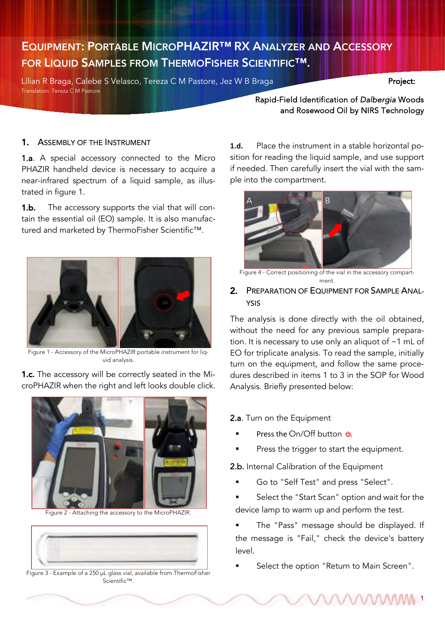# EQUIPMENT: PORTABLE MICROPHAZIR™ RX ANALYZER AND ACCESSORY FOR LIQUID SAMPLES FROM THERMOFISHER SCIENTIFIC™.

Lílian R Braga, Calebe S Velasco, Tereza C M Pastore, Jez W B Braga Project: Translation: Tereza C M Pastore

Rapid-Field Identification of *Dalbergia* Woods and Rosewood Oil by NIRS Technology

PROCEDURE FOR NIRS ESSENTIAL OIL ANALYSIS

## 1. ASSEMBLY OF THE INSTRUMENT

1.a. A special accessory connected to the Micro PHAZIR handheld device is necessary to acquire a near-infrared spectrum of a liquid sample, as illustrated in figure 1.

**1.b.** The accessory supports the vial that will contain the essential oil (EO) sample. It is also manufactured and marketed by ThermoFisher Scientific™.



Figure 1 - Accessory of the MicroPHAZIR portable instrument for liquid analysis.

**1.c.** The accessory will be correctly seated in the MicroPHAZIR when the right and left looks double click.

Figure 2 - Attaching the accessory to the MicroPHAZIR.



Figure 3 - Example of a 250 µL glass vial, available from ThermoFisher Scientific™.

**1.d.** Place the instrument in a stable horizontal position for reading the liquid sample, and use support if needed. Then carefully insert the vial with the sample into the compartment.



Figure 4 - Correct positioning of the vial in the accessory compartment.

# 2. PREPARATION OF EQUIPMENT FOR SAMPLE ANAL-YSIS

The analysis is done directly with the oil obtained, without the need for any previous sample preparation. It is necessary to use only an aliquot of ~1 mL of EO for triplicate analysis. To read the sample, initially turn on the equipment, and follow the same procedures described in items 1 to 3 in the SOP for Wood Analysis. Briefly presented below:

2.a. Turn on the Equipment

- Press the On/Off button **ψ**.
- Press the trigger to start the equipment.

2.b. Internal Calibration of the Equipment

- § Go to "Self Test" and press "Select".
- Select the "Start Scan" option and wait for the device lamp to warm up and perform the test.
- The "Pass" message should be displayed. If the message is "Fail," check the device's battery level.
- Select the option "Return to Main Screen".

*MAAAAAM*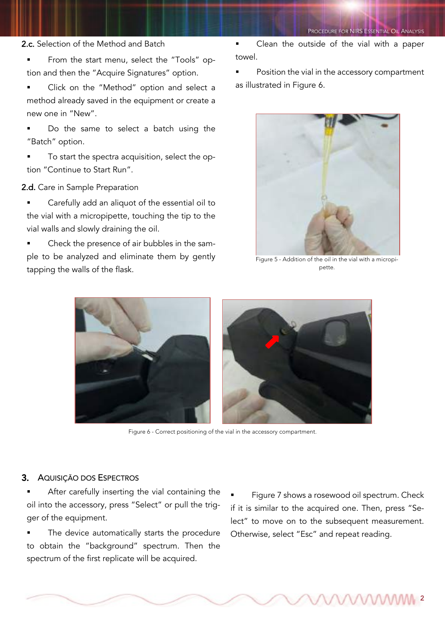#### 2.c. Selection of the Method and Batch

- § From the start menu, select the "Tools" option and then the "Acquire Signatures" option.
- § Click on the "Method" option and select a method already saved in the equipment or create a new one in "New".
- Do the same to select a batch using the "Batch" option.
- To start the spectra acquisition, select the option "Continue to Start Run".

### 2.d. Care in Sample Preparation

- **•** Carefully add an aliquot of the essential oil to the vial with a micropipette, touching the tip to the vial walls and slowly draining the oil.
- § Check the presence of air bubbles in the sample to be analyzed and eliminate them by gently tapping the walls of the flask.

§ Clean the outside of the vial with a paper towel.

Position the vial in the accessory compartment as illustrated in Figure 6.



Figure 5 - Addition of the oil in the vial with a micropipette.



Figure 6 - Correct positioning of the vial in the accessory compartment.

## 3. AQUISIÇÃO DOS ESPECTROS

- After carefully inserting the vial containing the oil into the accessory, press "Select" or pull the trigger of the equipment.
- The device automatically starts the procedure to obtain the "background" spectrum. Then the spectrum of the first replicate will be acquired.

Figure 7 shows a rosewood oil spectrum. Check if it is similar to the acquired one. Then, press "Select" to move on to the subsequent measurement. Otherwise, select "Esc" and repeat reading.

2

PROCEDURE FOR NIRS ESSENTIAL OIL ANALYSIS